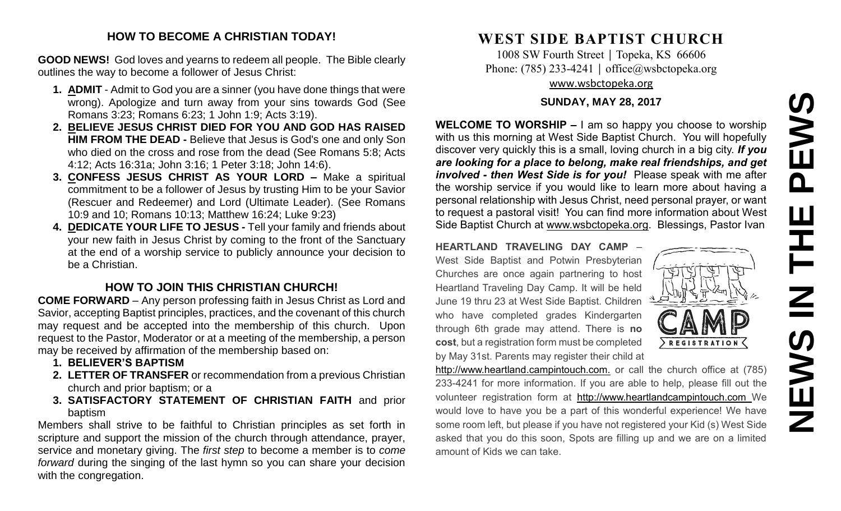# **NEWS IN THE PEWS**EWS  $\overline{\mathbf{a}}$ 즌  $\overline{z}$ **SWEN**

#### **HOW TO BECOME A CHRISTIAN TODAY!**

**GOOD NEWS!** God loves and yearns to redeem all people. The Bible clearly outlines the way to become a follower of Jesus Christ:

- **1. ADMIT** Admit to God you are a sinner (you have done things that were wrong). Apologize and turn away from your sins towards God (See Romans 3:23; Romans 6:23; 1 John 1:9; Acts 3:19).
- **2. BELIEVE JESUS CHRIST DIED FOR YOU AND GOD HAS RAISED HIM FROM THE DEAD -** Believe that Jesus is God's one and only Son who died on the cross and rose from the dead (See Romans 5:8; Acts 4:12; Acts 16:31a; John 3:16; 1 Peter 3:18; John 14:6).
- **3. CONFESS JESUS CHRIST AS YOUR LORD –** Make a spiritual commitment to be a follower of Jesus by trusting Him to be your Savior (Rescuer and Redeemer) and Lord (Ultimate Leader). (See Romans 10:9 and 10; Romans 10:13; Matthew 16:24; Luke 9:23)
- **4. DEDICATE YOUR LIFE TO JESUS -** Tell your family and friends about your new faith in Jesus Christ by coming to the front of the Sanctuary at the end of a worship service to publicly announce your decision to be a Christian.

### **HOW TO JOIN THIS CHRISTIAN CHURCH!**

**COME FORWARD** – Any person professing faith in Jesus Christ as Lord and Savior, accepting Baptist principles, practices, and the covenant of this church may request and be accepted into the membership of this church. Upon request to the Pastor, Moderator or at a meeting of the membership, a person may be received by affirmation of the membership based on:

- **1. BELIEVER'S BAPTISM**
- **2. LETTER OF TRANSFER** or recommendation from a previous Christian church and prior baptism; or a
- **3. SATISFACTORY STATEMENT OF CHRISTIAN FAITH** and prior baptism

Members shall strive to be faithful to Christian principles as set forth in scripture and support the mission of the church through attendance, prayer, service and monetary giving. The *first step* to become a member is to *come forward* during the singing of the last hymn so you can share your decision with the congregation.

## **WEST SIDE BAPTIST CHURCH**

1008 SW Fourth Street | Topeka, KS 66606 Phone: (785) 233-4241 │ [office@wsbctopeka.org](mailto:office@wsbctopeka.org) [www.wsbctopeka.org](http://www.wsbctopeka.org/)

#### **SUNDAY, MAY 28, 2017**

**WELCOME TO WORSHIP –** I am so happy you choose to worship with us this morning at West Side Baptist Church. You will hopefully discover very quickly this is a small, loving church in a big city. *If you are looking for a place to belong, make real friendships, and get involved - then West Side is for you!* Please speak with me after the worship service if you would like to learn more about having a personal relationship with Jesus Christ, need personal prayer, or want to request a pastoral visit! You can find more information about West Side Baptist Church at [www.wsbctopeka.org.](http://www.wsbctopeka.org/) Blessings, Pastor Ivan

**HEARTLAND TRAVELING DAY CAMP** – West Side Baptist and Potwin Presbyterian Churches are once again partnering to host Heartland Traveling Day Camp. It will be held June 19 thru 23 at West Side Baptist. Children who have completed grades Kindergarten through 6th grade may attend. There is **no cost**, but a registration form must be completed by May 31st. Parents may register their child at



http://www.heartland.campintouch.com. or call the church office at (785) 233-4241 for more information. If you are able to help, please fill out the volunteer registration form at [http://www.heartlandcampintouch.com](http://www.heartlandcampintouch.com/) We would love to have you be a part of this wonderful experience! We have some room left, but please if you have not registered your Kid (s) West Side asked that you do this soon, Spots are filling up and we are on a limited amount of Kids we can take.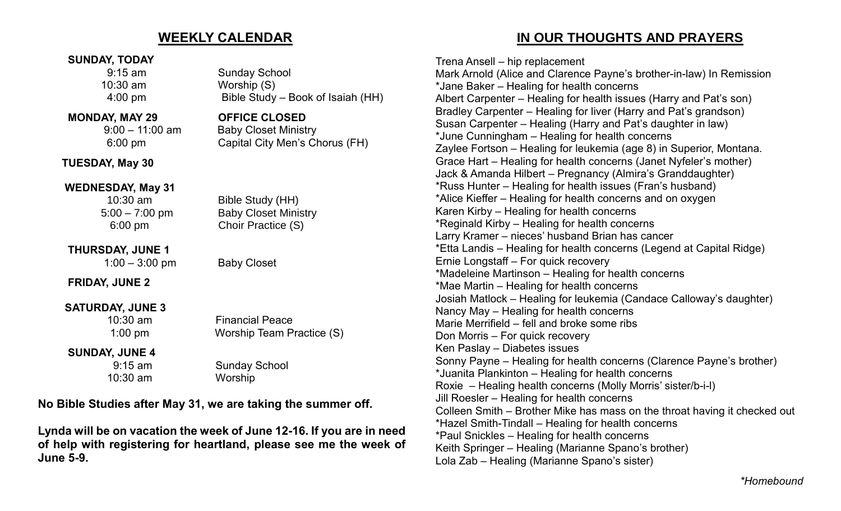## **WEEKLY CALENDAR**

#### **SUNDAY, TODAY**

9:15 am Sunday School 10:30 am Worship (S) 4:00 pm Bible Study – Book of Isaiah (HH)

#### **MONDAY, MAY 29 OFFICE CLOSED**

 9:00 – 11:00 am Baby Closet Ministry 6:00 pm Capital City Men's Chorus (FH)

#### **TUESDAY, May 30**

#### **WEDNESDAY, May 31**

 10:30 am Bible Study (HH) 5:00 – 7:00 pm Baby Closet Ministry 6:00 pm Choir Practice (S)

**THURSDAY, JUNE 1** 1:00 – 3:00 pm Baby Closet

**FRIDAY, JUNE 2**

## **SATURDAY, JUNE 3**

 10:30 am Financial Peace 1:00 pm Worship Team Practice (S)

#### **SUNDAY, JUNE 4**

 9:15 am Sunday School 10:30 am Worship

## **No Bible Studies after May 31, we are taking the summer off.**

**Lynda will be on vacation the week of June 12-16. If you are in need of help with registering for heartland, please see me the week of June 5-9.** 

 **IN OUR THOUGHTS AND PRAYERS**

Trena Ansell – hip replacement Mark Arnold (Alice and Clarence Payne's brother-in-law) In Remission \*Jane Baker – Healing for health concerns Albert Carpenter – Healing for health issues (Harry and Pat's son) Bradley Carpenter – Healing for liver (Harry and Pat's grandson) Susan Carpenter – Healing (Harry and Pat's daughter in law) \*June Cunningham – Healing for health concerns Zaylee Fortson – Healing for leukemia (age 8) in Superior, Montana. Grace Hart – Healing for health concerns (Janet Nyfeler's mother) Jack & Amanda Hilbert – Pregnancy (Almira's Granddaughter) \*Russ Hunter – Healing for health issues (Fran's husband) \*Alice Kieffer – Healing for health concerns and on oxygen Karen Kirby – Healing for health concerns \*Reginald Kirby – Healing for health concerns Larry Kramer – nieces' husband Brian has cancer \*Etta Landis – Healing for health concerns (Legend at Capital Ridge) Ernie Longstaff – For quick recovery \*Madeleine Martinson – Healing for health concerns \*Mae Martin – Healing for health concerns Josiah Matlock – Healing for leukemia (Candace Calloway's daughter) Nancy May – Healing for health concerns Marie Merrifield – fell and broke some ribs Don Morris – For quick recovery Ken Paslay – Diabetes issues Sonny Payne – Healing for health concerns (Clarence Payne's brother) \*Juanita Plankinton – Healing for health concerns Roxie – Healing health concerns (Molly Morris' sister/b-i-l) Jill Roesler – Healing for health concerns Colleen Smith – Brother Mike has mass on the throat having it checked out \*Hazel Smith-Tindall – Healing for health concerns \*Paul Snickles – Healing for health concerns Keith Springer – Healing (Marianne Spano's brother) Lola Zab – Healing (Marianne Spano's sister)

*\*Homebound*